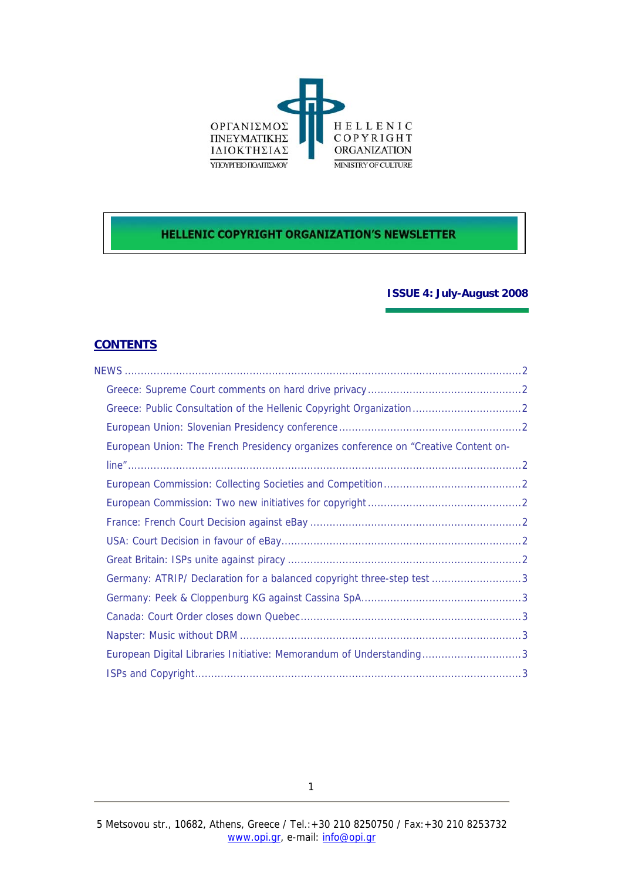

# **HELLENIC COPYRIGHT ORGANIZATION'S NEWSLETTER**

# **ISSUE 4: July-August 2008**

## **CONTENTS**

| European Union: The French Presidency organizes conference on "Creative Content on- |  |
|-------------------------------------------------------------------------------------|--|
|                                                                                     |  |
|                                                                                     |  |
|                                                                                     |  |
|                                                                                     |  |
|                                                                                     |  |
|                                                                                     |  |
| Germany: ATRIP/ Declaration for a balanced copyright three-step test 3              |  |
|                                                                                     |  |
|                                                                                     |  |
|                                                                                     |  |
| European Digital Libraries Initiative: Memorandum of Understanding3                 |  |
|                                                                                     |  |
|                                                                                     |  |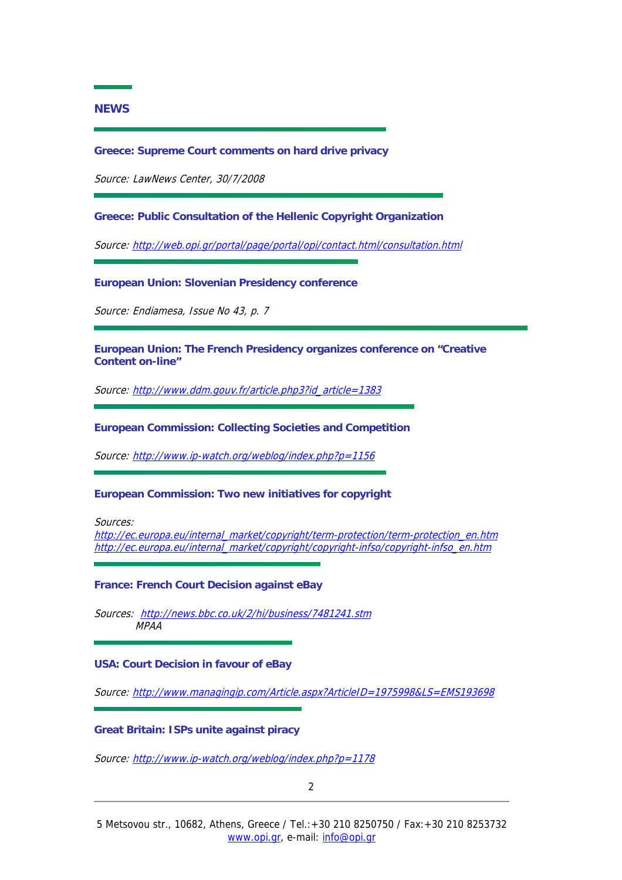### <span id="page-1-0"></span>**NEWS**

#### **Greece: Supreme Court comments on hard drive privacy**

Source: LawNews Center, 30/7/2008

**Greece: Public Consultation of the Hellenic Copyright Organization** 

Source: <http://web.opi.gr/portal/page/portal/opi/contact.html/consultation.html>

**European Union: Slovenian Presidency conference** 

Source: Endiamesa, Issue No 43, p. 7

**European Union: The French Presidency organizes conference on "Creative Content on-line"** 

Source: [http://www.ddm.gouv.fr/article.php3?id\\_article=1383](http://www.ddm.gouv.fr/article.php3?id_article=1383)

**European Commission: Collecting Societies and Competition** 

Source: <http://www.ip-watch.org/weblog/index.php?p=1156>

**European Commission: Two new initiatives for copyright** 

Sources:

[http://ec.europa.eu/internal\\_market/copyright/term-protection/term-protection\\_en.htm](http://ec.europa.eu/internal_market/copyright/term-protection/term-protection_en.htm) [http://ec.europa.eu/internal\\_market/copyright/copyright-infso/copyright-infso\\_en.htm](http://ec.europa.eu/internal_market/copyright/copyright-infso/copyright-infso_en.htm)

**France: French Court Decision against eBay** 

Sources: <http://news.bbc.co.uk/2/hi/business/7481241.stm> MPAA

#### **USA: Court Decision in favour of eBay**

Source: <http://www.managingip.com/Article.aspx?ArticleID=1975998&LS=EMS193698>

#### **Great Britain: ISPs unite against piracy**

Source: <http://www.ip-watch.org/weblog/index.php?p=1178>

2 and 2 and 2 and 2 and 2 and 2 and 2 and 2 and 2 and 2 and 2 and 2 and 2 and 2 and 2 and 2 and 2 and 2 and 2